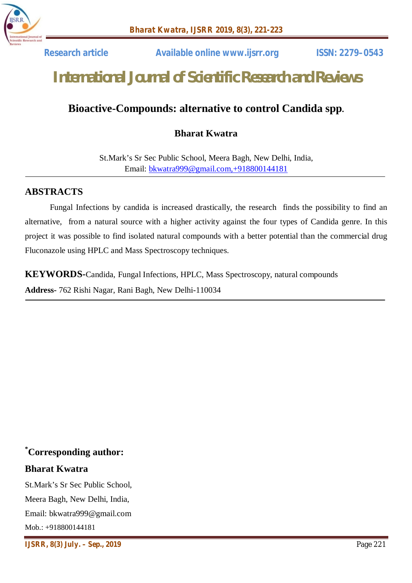

 **Research article Available online www.ijsrr.org ISSN: 2279–0543**

# *International Journal of Scientific Research and Reviews*

# **Bioactive-Compounds: alternative to control Candida spp.**

# **Bharat Kwatra**

St.Mark's Sr Sec Public School, Meera Bagh, New Delhi, India, Email: bkwatra999@gmail.com,+918800144181

#### **ABSTRACTS**

Fungal Infections by candida is increased drastically, the research finds the possibility to find an alternative, from a natural source with a higher activity against the four types of Candida genre. In this project it was possible to find isolated natural compounds with a better potential than the commercial drug Fluconazole using HPLC and Mass Spectroscopy techniques.

**KEYWORDS-**Candida, Fungal Infections, HPLC, Mass Spectroscopy, natural compounds **Address-** 762 Rishi Nagar, Rani Bagh, New Delhi-110034

# **\*Corresponding author:**

#### **Bharat Kwatra**

St.Mark's Sr Sec Public School, Meera Bagh, New Delhi, India, Email: bkwatra999@gmail.com  $M$ ob.: +918800144181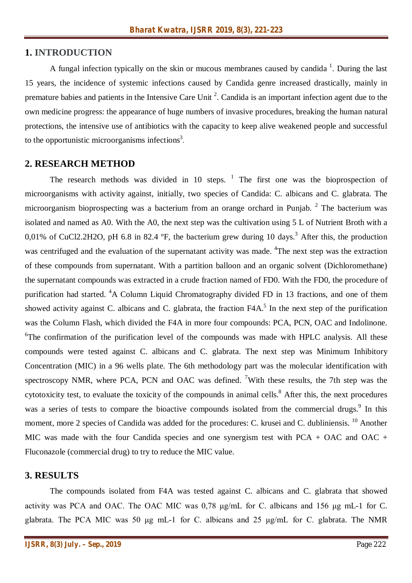#### **1. INTRODUCTION**

A fungal infection typically on the skin or mucous membranes caused by candida  $<sup>1</sup>$ . During the last</sup> 15 years, the incidence of systemic infections caused by Candida genre increased drastically, mainly in premature babies and patients in the Intensive Care Unit  $2$ . Candida is an important infection agent due to the own medicine progress: the appearance of huge numbers of invasive procedures, breaking the human natural protections, the intensive use of antibiotics with the capacity to keep alive weakened people and successful to the opportunistic microorganisms infections<sup>3</sup>.

#### **2. RESEARCH METHOD**

The research methods was divided in 10 steps.  $\frac{1}{1}$  The first one was the bioprospection of microorganisms with activity against, initially, two species of Candida: C. albicans and C. glabrata. The microorganism bioprospecting was a bacterium from an orange orchard in Punjab. <sup>2</sup> The bacterium was isolated and named as A0. With the A0, the next step was the cultivation using 5 L of Nutrient Broth with a 0,01% of CuCl2.2H2O, pH 6.8 in 82.4  $\textdegree$ F, the bacterium grew during 10 days.<sup>3</sup> After this, the production was centrifuged and the evaluation of the supernatant activity was made. <sup>4</sup>The next step was the extraction of these compounds from supernatant. With a partition balloon and an organic solvent (Dichloromethane) the supernatant compounds was extracted in a crude fraction named of FD0. With the FD0, the procedure of purification had started. <sup>4</sup>A Column Liquid Chromatography divided FD in 13 fractions, and one of them showed activity against C. albicans and C. glabrata, the fraction  $FAA$ <sup>5</sup>. In the next step of the purification was the Column Flash, which divided the F4A in more four compounds: PCA, PCN, OAC and Indolinone. <sup>6</sup>The confirmation of the purification level of the compounds was made with HPLC analysis. All these compounds were tested against C. albicans and C. glabrata. The next step was Minimum Inhibitory Concentration (MIC) in a 96 wells plate. The 6th methodology part was the molecular identification with spectroscopy NMR, where PCA, PCN and OAC was defined. <sup>7</sup>With these results, the 7th step was the cytotoxicity test, to evaluate the toxicity of the compounds in animal cells.<sup>8</sup> After this, the next procedures was a series of tests to compare the bioactive compounds isolated from the commercial drugs.<sup>9</sup> In this moment, more 2 species of Candida was added for the procedures: C. krusei and C. dubliniensis. <sup>10</sup> Another MIC was made with the four Candida species and one synergism test with PCA + OAC and OAC + Fluconazole (commercial drug) to try to reduce the MIC value.

#### **3. RESULTS**

The compounds isolated from F4A was tested against C. albicans and C. glabrata that showed activity was PCA and OAC. The OAC MIC was 0,78 μg/mL for C. albicans and 156 μg mL-1 for C. glabrata. The PCA MIC was 50 μg mL-1 for C. albicans and 25 μg/mL for C. glabrata. The NMR